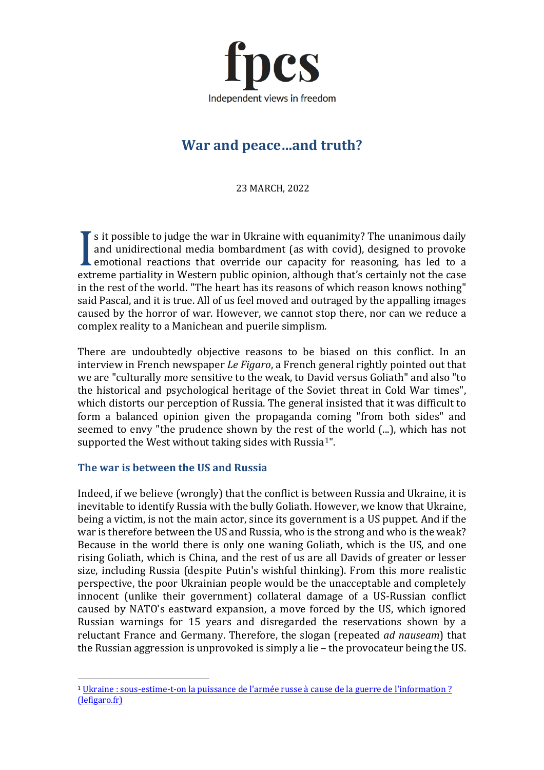

# **War and peace…and truth?**

23 MARCH, 2022

s it possible to judge the war in Ukraine with equanimity? The unanimous daily and unidirectional media bombardment (as with covid), designed to provoke emotional reactions that override our capacity for reasoning, has led to a and unidirectional media bombardment (as with covid), designed to provoke<br>
emotional reactions that override our capacity for reasoning, has led to a<br>
extreme partiality in Western public opinion, although that's certainly in the rest of the world. "The heart has its reasons of which reason knows nothing" said Pascal, and it is true. All of us feel moved and outraged by the appalling images caused by the horror of war. However, we cannot stop there, nor can we reduce a complex reality to a Manichean and puerile simplism.

There are undoubtedly objective reasons to be biased on this conflict. In an interview in French newspaper *Le Figaro*, a French general rightly pointed out that we are "culturally more sensitive to the weak, to David versus Goliath" and also "to the historical and psychological heritage of the Soviet threat in Cold War times", which distorts our perception of Russia. The general insisted that it was difficult to form a balanced opinion given the propaganda coming "from both sides" and seemed to envy "the prudence shown by the rest of the world (...), which has not supported the West without taking sides with Russia<sup>[1"](#page-0-0)</sup>.

### **The war is between the US and Russia**

Indeed, if we believe (wrongly) that the conflict is between Russia and Ukraine, it is inevitable to identify Russia with the bully Goliath. However, we know that Ukraine, being a victim, is not the main actor, since its government is a US puppet. And if the war is therefore between the US and Russia, who is the strong and who is the weak? Because in the world there is only one waning Goliath, which is the US, and one rising Goliath, which is China, and the rest of us are all Davids of greater or lesser size, including Russia (despite Putin's wishful thinking). From this more realistic perspective, the poor Ukrainian people would be the unacceptable and completely innocent (unlike their government) collateral damage of a US-Russian conflict caused by NATO's eastward expansion, a move forced by the US, which ignored Russian warnings for 15 years and disregarded the reservations shown by a reluctant France and Germany. Therefore, the slogan (repeated *ad nauseam*) that the Russian aggression is unprovoked is simply a lie – the provocateur being the US.

<span id="page-0-0"></span><sup>1</sup> Ukraine : sous-estime-t-on la puissance de l['armée russe à cause de la guerre de l'information ?](https://www.lefigaro.fr/international/ukraine-sous-estime-t-on-la-puissance-de-l-armee-russe-a-cause-de-la-guerre-de-l-information-20220309)  [\(lefigaro.fr\)](https://www.lefigaro.fr/international/ukraine-sous-estime-t-on-la-puissance-de-l-armee-russe-a-cause-de-la-guerre-de-l-information-20220309)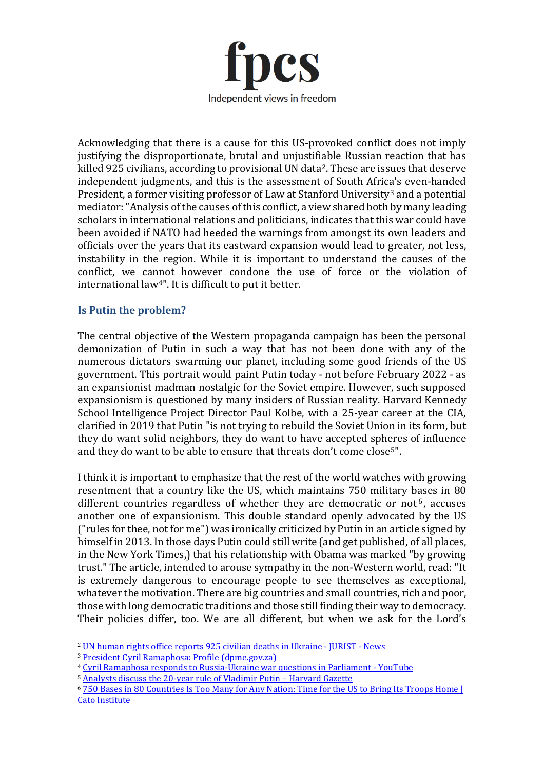

Acknowledging that there is a cause for this US-provoked conflict does not imply justifying the disproportionate, brutal and unjustifiable Russian reaction that has killed 925 civilians, according to provisional UN data[2.](#page-1-0) These are issues that deserve independent judgments, and this is the assessment of South Africa's even-handed President, a former visiting professor of Law at Stanford University<sup>[3](#page-1-1)</sup> and a potential mediator: "Analysis of the causes of this conflict, a view shared both by many leading scholars in international relations and politicians, indicates that this war could have been avoided if NATO had heeded the warnings from amongst its own leaders and officials over the years that its eastward expansion would lead to greater, not less, instability in the region. While it is important to understand the causes of the conflict, we cannot however condone the use of force or the violation of international law[4](#page-1-2)". It is difficult to put it better.

#### **Is Putin the problem?**

The central objective of the Western propaganda campaign has been the personal demonization of Putin in such a way that has not been done with any of the numerous dictators swarming our planet, including some good friends of the US government. This portrait would paint Putin today - not before February 2022 - as an expansionist madman nostalgic for the Soviet empire. However, such supposed expansionism is questioned by many insiders of Russian reality. Harvard Kennedy School Intelligence Project Director Paul Kolbe, with a 25-year career at the CIA, clarified in 2019 that Putin "is not trying to rebuild the Soviet Union in its form, but they do want solid neighbors, they do want to have accepted spheres of influence and they do want to be able to ensure that threats don't come close<sup>[5](#page-1-3)"</sup>.

I think it is important to emphasize that the rest of the world watches with growing resentment that a country like the US, which maintains 750 military bases in 80 different countries regardless of whether they are democratic or not<sup>[6](#page-1-4)</sup>, accuses another one of expansionism. This double standard openly advocated by the US ("rules for thee, not for me") was ironically criticized by Putin in an article signed by himself in 2013. In those days Putin could still write (and get published, of all places, in the New York Times,) that his relationship with Obama was marked "by growing trust." The article, intended to arouse sympathy in the non-Western world, read: "It is extremely dangerous to encourage people to see themselves as exceptional, whatever the motivation. There are big countries and small countries, rich and poor, those with long democratic traditions and those still finding their way to democracy. Their policies differ, too. We are all different, but when we ask for the Lord's

<span id="page-1-0"></span><sup>2</sup> [UN human rights office reports 925 civilian deaths in Ukraine -](https://www.jurist.org/news/2022/03/un-human-rights-office-reports-925-civilian-deaths-in-ukraine/?msclkid=ee582d65a9c911eca216c157e80146e6) JURIST - News

<span id="page-1-1"></span><sup>3</sup> [President Cyril Ramaphosa: Profile \(dpme.gov.za\)](https://www.dpme.gov.za/about/Pages/President-Cyril-Ramaphosa.aspx)

<span id="page-1-2"></span><sup>4</sup> [Cyril Ramaphosa responds to Russia-Ukraine war questions in Parliament -](https://www.youtube.com/watch?v=XEbutMjsexU) YouTube

<span id="page-1-3"></span><sup>5</sup> [Analysts discuss the 20-year rule of Vladimir Putin –](https://news.harvard.edu/gazette/story/2019/12/analysts-discuss-the-20-year-rule-of-vladimir-putin/) Harvard Gazette

<span id="page-1-4"></span><sup>6</sup> [750 Bases in 80 Countries Is Too Many for Any Nation: Time for the US to Bring Its Troops Home |](https://www.cato.org/commentary/750-bases-80-countries-too-many-any-nation-time-us-bring-its-troops-home#:%7E:text=An%20important%20aspect%20of%20the,and%20territories%20around%20the%20world.)  [Cato Institute](https://www.cato.org/commentary/750-bases-80-countries-too-many-any-nation-time-us-bring-its-troops-home#:%7E:text=An%20important%20aspect%20of%20the,and%20territories%20around%20the%20world.)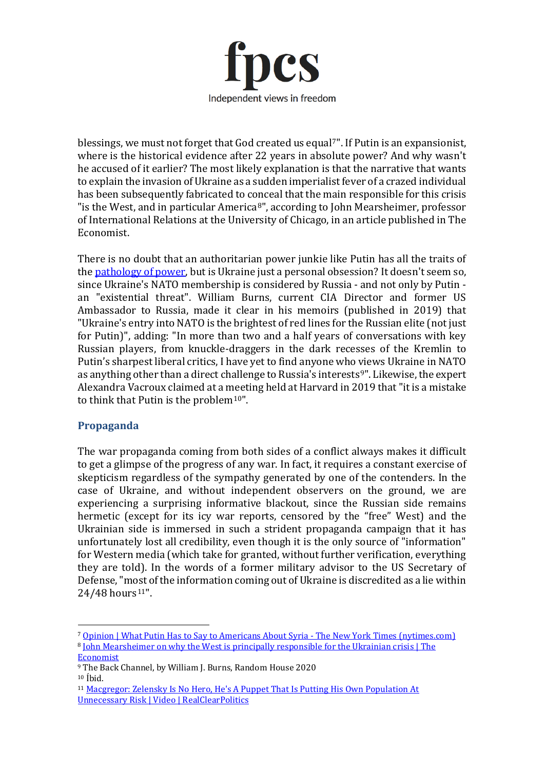

blessings, we must not forget that God created us equal<sup>[7](#page-2-0)"</sup>. If Putin is an expansionist, where is the historical evidence after 22 years in absolute power? And why wasn't he accused of it earlier? The most likely explanation is that the narrative that wants to explain the invasion of Ukraine as a sudden imperialist fever of a crazed individual has been subsequently fabricated to conceal that the main responsible for this crisis "is the West, and in particular America[8](#page-2-1)", according to John Mearsheimer, professor of International Relations at the University of Chicago, in an article published in The Economist.

There is no doubt that an authoritarian power junkie like Putin has all the traits of the **pathology of power**, but is Ukraine just a personal obsession? It doesn't seem so, since Ukraine's NATO membership is considered by Russia - and not only by Putin an "existential threat". William Burns, current CIA Director and former US Ambassador to Russia, made it clear in his memoirs (published in 2019) that "Ukraine's entry into NATO is the brightest of red lines for the Russian elite (not just for Putin)", adding: "In more than two and a half years of conversations with key Russian players, from knuckle-draggers in the dark recesses of the Kremlin to Putin's sharpest liberal critics, I have yet to find anyone who views Ukraine in NATO as anything other than a direct challenge to Russia's interests<sup>[9"](#page-2-2)</sup>. Likewise, the expert Alexandra Vacroux claimed at a meeting held at Harvard in 2019 that "it is a mistake to think that Putin is the problem $10"$ .

# **Propaganda**

The war propaganda coming from both sides of a conflict always makes it difficult to get a glimpse of the progress of any war. In fact, it requires a constant exercise of skepticism regardless of the sympathy generated by one of the contenders. In the case of Ukraine, and without independent observers on the ground, we are experiencing a surprising informative blackout, since the Russian side remains hermetic (except for its icy war reports, censored by the "free" West) and the Ukrainian side is immersed in such a strident propaganda campaign that it has unfortunately lost all credibility, even though it is the only source of "information" for Western media (which take for granted, without further verification, everything they are told). In the words of a former military advisor to the US Secretary of Defense, "most of the information coming out of Ukraine is discredited as a lie within  $24/48$  hours<sup>[11](#page-2-4)"</sup>.

<span id="page-2-1"></span><span id="page-2-0"></span><sup>7</sup> [Opinion | What Putin Has to Say to Americans About Syria -](https://www.nytimes.com/2013/09/12/opinion/putin-plea-for-caution-from-russia-on-syria.html) The New York Times (nytimes.com) <sup>8</sup> [John Mearsheimer on why the West is principally responsible for the Ukrainian crisis | The](https://www.economist.com/by-invitation/2022/03/11/john-mearsheimer-on-why-the-west-is-principally-responsible-for-the-ukrainian-crisis)  [Economist](https://www.economist.com/by-invitation/2022/03/11/john-mearsheimer-on-why-the-west-is-principally-responsible-for-the-ukrainian-crisis)

<span id="page-2-2"></span><sup>9</sup> The Back Channel, by William J. Burns, Random House 2020

<span id="page-2-3"></span> $10$  [bid.

<span id="page-2-4"></span><sup>&</sup>lt;sup>11</sup> Macgregor: Zelensky Is No Hero, He's A Puppet That Is Putting His Own Population At [Unnecessary Risk | Video | RealClearPolitics](https://www.realclearpolitics.com/video/2022/03/05/macgregor_zelensky_is_no_hero_hes_a_puppet_that_is_putting_his_own_population_at_unnecessary_risk.html)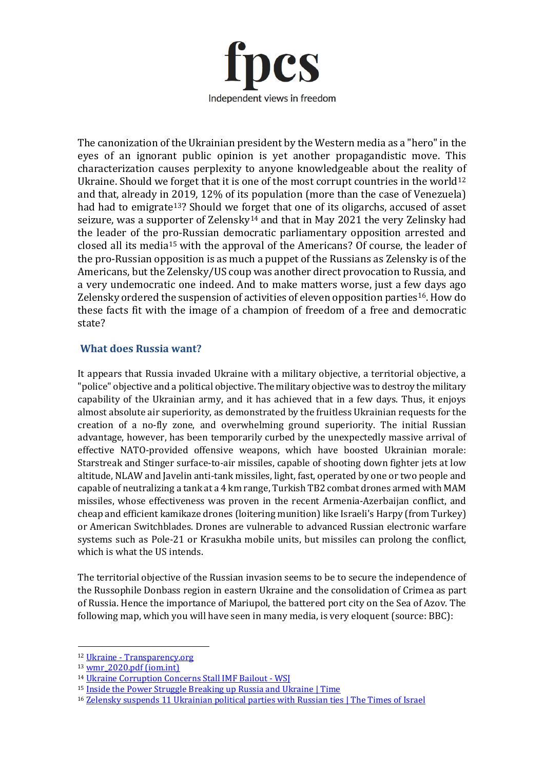

The canonization of the Ukrainian president by the Western media as a "hero" in the eyes of an ignorant public opinion is yet another propagandistic move. This characterization causes perplexity to anyone knowledgeable about the reality of Ukraine. Should we forget that it is one of the most corrupt countries in the world<sup>[12](#page-3-0)</sup> and that, already in 2019, 12% of its population (more than the case of Venezuela) had had to emigrate<sup>13</sup>? Should we forget that one of its oligarchs, accused of asset seizure, was a supporter of Zelensky<sup>[14](#page-3-2)</sup> and that in May 2021 the very Zelinsky had the leader of the pro-Russian democratic parliamentary opposition arrested and closed all its media[15](#page-3-3) with the approval of the Americans? Of course, the leader of the pro-Russian opposition is as much a puppet of the Russians as Zelensky is of the Americans, but the Zelensky/US coup was another direct provocation to Russia, and a very undemocratic one indeed. And to make matters worse, just a few days ago Zelensky ordered the suspension of activities of eleven opposition parties[16](#page-3-4). How do these facts fit with the image of a champion of freedom of a free and democratic state?

## **What does Russia want?**

It appears that Russia invaded Ukraine with a military objective, a territorial objective, a "police" objective and a political objective. The military objective was to destroy the military capability of the Ukrainian army, and it has achieved that in a few days. Thus, it enjoys almost absolute air superiority, as demonstrated by the fruitless Ukrainian requests for the creation of a no-fly zone, and overwhelming ground superiority. The initial Russian advantage, however, has been temporarily curbed by the unexpectedly massive arrival of effective NATO-provided offensive weapons, which have boosted Ukrainian morale: Starstreak and Stinger surface-to-air missiles, capable of shooting down fighter jets at low altitude, NLAW and Javelin anti-tank missiles, light, fast, operated by one or two people and capable of neutralizing a tank at a 4 km range, Turkish TB2 combat drones armed with MAM missiles, whose effectiveness was proven in the recent Armenia-Azerbaijan conflict, and cheap and efficient kamikaze drones (loitering munition) like Israeli's Harpy (from Turkey) or American Switchblades. Drones are vulnerable to advanced Russian electronic warfare systems such as Pole-21 or Krasukha mobile units, but missiles can prolong the conflict, which is what the US intends.

The territorial objective of the Russian invasion seems to be to secure the independence of the Russophile Donbass region in eastern Ukraine and the consolidation of Crimea as part of Russia. Hence the importance of Mariupol, the battered port city on the Sea of Azov. The following map, which you will have seen in many media, is very eloquent (source: BBC):

<span id="page-3-0"></span><sup>12</sup> Ukraine - [Transparency.org](https://www.transparency.org/en/countries/ukraine)

<span id="page-3-1"></span> $13 \text{ wmr } 2020.$ pdf (iom.int)

<span id="page-3-2"></span><sup>14</sup> [Ukraine Corruption Concerns Stall IMF Bailout -](https://www.wsj.com/articles/ukraine-corruption-concerns-stall-imf-bailout-11572535061) WSI

<span id="page-3-3"></span><sup>&</sup>lt;sup>15</sup> [Inside the Power Struggle Breaking up Russia and Ukraine | Time](https://time.com/6144109/russia-ukraine-vladimir-putin-viktor-medvedchuk/)

<span id="page-3-4"></span><sup>&</sup>lt;sup>16</sup> [Zelensky suspends 11 Ukrainian political parties with Russian ties | The Times of Israel](https://www.timesofisrael.com/liveblog_entry/zelensky-suspends-11-ukrainian-political-parties-with-russian-ties/)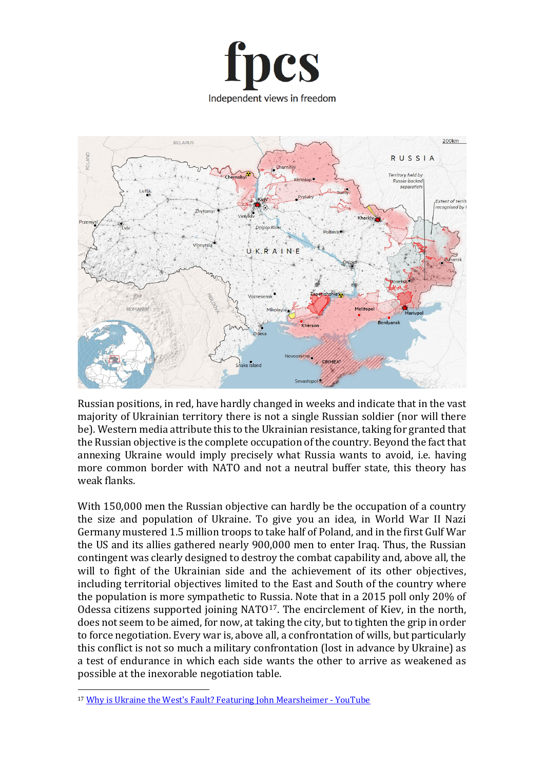



Russian positions, in red, have hardly changed in weeks and indicate that in the vast majority of Ukrainian territory there is not a single Russian soldier (nor will there be). Western media attribute this to the Ukrainian resistance, taking for granted that the Russian objective is the complete occupation of the country. Beyond the fact that annexing Ukraine would imply precisely what Russia wants to avoid, i.e. having more common border with NATO and not a neutral buffer state, this theory has weak flanks.

With 150,000 men the Russian objective can hardly be the occupation of a country the size and population of Ukraine. To give you an idea, in World War II Nazi Germany mustered 1.5 million troops to take half of Poland, and in the first Gulf War the US and its allies gathered nearly 900,000 men to enter Iraq. Thus, the Russian contingent was clearly designed to destroy the combat capability and, above all, the will to fight of the Ukrainian side and the achievement of its other objectives, including territorial objectives limited to the East and South of the country where the population is more sympathetic to Russia. Note that in a 2015 poll only 20% of Odessa citizens supported joining NATO<sup>[17](#page-4-0)</sup>. The encirclement of Kiev, in the north, does not seem to be aimed, for now, at taking the city, but to tighten the grip in order to force negotiation. Every war is, above all, a confrontation of wills, but particularly this conflict is not so much a military confrontation (lost in advance by Ukraine) as a test of endurance in which each side wants the other to arrive as weakened as possible at the inexorable negotiation table.

<span id="page-4-0"></span><sup>&</sup>lt;sup>17</sup> Why is Ukraine the West['s Fault? Featuring John Mearsheimer - YouTube](https://www.youtube.com/watch?v=JrMiSQAGOS4)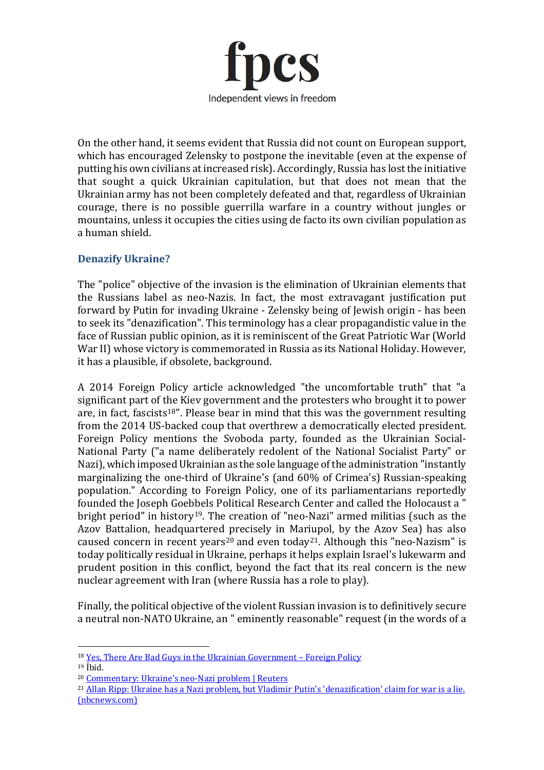

On the other hand, it seems evident that Russia did not count on European support, which has encouraged Zelensky to postpone the inevitable (even at the expense of putting his own civilians at increased risk). Accordingly, Russia has lost the initiative that sought a quick Ukrainian capitulation, but that does not mean that the Ukrainian army has not been completely defeated and that, regardless of Ukrainian courage, there is no possible guerrilla warfare in a country without jungles or mountains, unless it occupies the cities using de facto its own civilian population as a human shield.

## **Denazify Ukraine?**

The "police" objective of the invasion is the elimination of Ukrainian elements that the Russians label as neo-Nazis. In fact, the most extravagant justification put forward by Putin for invading Ukraine - Zelensky being of Jewish origin - has been to seek its "denazification". This terminology has a clear propagandistic value in the face of Russian public opinion, as it is reminiscent of the Great Patriotic War (World War II) whose victory is commemorated in Russia as its National Holiday. However, it has a plausible, if obsolete, background.

A 2014 Foreign Policy article acknowledged "the uncomfortable truth" that "a significant part of the Kiev government and the protesters who brought it to power are, in fact, fascists<sup>18"</sup>. Please bear in mind that this was the government resulting from the 2014 US-backed coup that overthrew a democratically elected president. Foreign Policy mentions the Svoboda party, founded as the Ukrainian Social-National Party ("a name deliberately redolent of the National Socialist Party" or Nazi), which imposed Ukrainian as the sole language of the administration "instantly marginalizing the one-third of Ukraine's (and 60% of Crimea's) Russian-speaking population." According to Foreign Policy, one of its parliamentarians reportedly founded the Joseph Goebbels Political Research Center and called the Holocaust a " bright period" in history<sup>19</sup>. The creation of "neo-Nazi" armed militias (such as the Azov Battalion, headquartered precisely in Mariupol, by the Azov Sea) has also caused concern in recent years<sup>[20](#page-5-2)</sup> and even today<sup>[21](#page-5-3)</sup>. Although this "neo-Nazism" is today politically residual in Ukraine, perhaps it helps explain Israel's lukewarm and prudent position in this conflict, beyond the fact that its real concern is the new nuclear agreement with Iran (where Russia has a role to play).

Finally, the political objective of the violent Russian invasion is to definitively secure a neutral non-NATO Ukraine, an " eminently reasonable" request (in the words of a

<span id="page-5-0"></span><sup>18</sup> [Yes, There Are Bad Guys in the Ukrainian Government –](https://foreignpolicy.com/2014/03/18/yes-there-are-bad-guys-in-the-ukrainian-government/) Foreign Policy

<span id="page-5-1"></span> $19$  Íhid.

<span id="page-5-2"></span><sup>20</sup> [Commentary: Ukraine's neo-Nazi problem | Reuters](https://www.reuters.com/article/us-cohen-ukraine-commentary-idUSKBN1GV2TY)

<span id="page-5-3"></span><sup>21</sup> [Allan Ripp: Ukraine has a Nazi problem, but Vladimir Putin](https://www.nbcnews.com/think/opinion/ukraine-has-nazi-problem-vladimir-putin-s-denazification-claim-war-ncna1290946)'s 'denazification' claim for war is a lie. [\(nbcnews.com\)](https://www.nbcnews.com/think/opinion/ukraine-has-nazi-problem-vladimir-putin-s-denazification-claim-war-ncna1290946)